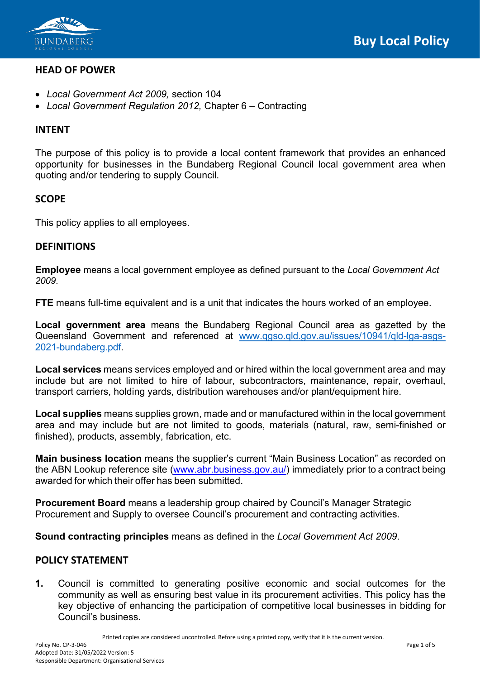

## **HEAD OF POWER**

- *Local Government Act 2009,* section 104
- *Local Government Regulation 2012,* Chapter 6 Contracting

### **INTENT**

The purpose of this policy is to provide a local content framework that provides an enhanced opportunity for businesses in the Bundaberg Regional Council local government area when quoting and/or tendering to supply Council.

### **SCOPE**

This policy applies to all employees.

### **DEFINITIONS**

**Employee** means a local government employee as defined pursuant to the *Local Government Act 2009*.

**FTE** means full-time equivalent and is a unit that indicates the hours worked of an employee.

**Local government area** means the Bundaberg Regional Council area as gazetted by the Queensland Government and referenced at [www.qgso.qld.gov.au/issues/10941/qld-lga-asgs-](http://www.qgso.qld.gov.au/issues/10941/qld-lga-asgs-2021-bundaberg.pdf)[2021-bundaberg.pdf.](http://www.qgso.qld.gov.au/issues/10941/qld-lga-asgs-2021-bundaberg.pdf)

**Local services** means services employed and or hired within the local government area and may include but are not limited to hire of labour, subcontractors, maintenance, repair, overhaul, transport carriers, holding yards, distribution warehouses and/or plant/equipment hire.

**Local supplies** means supplies grown, made and or manufactured within in the local government area and may include but are not limited to goods, materials (natural, raw, semi-finished or finished), products, assembly, fabrication, etc.

**Main business location** means the supplier's current "Main Business Location" as recorded on the ABN Lookup reference site [\(www.abr.business.gov.au/\)](http://www.abr.business.gov.au/) immediately prior to a contract being awarded for which their offer has been submitted.

**Procurement Board** means a leadership group chaired by Council's Manager Strategic Procurement and Supply to oversee Council's procurement and contracting activities.

**Sound contracting principles** means as defined in the *Local Government Act 2009*.

# **POLICY STATEMENT**

**1.** Council is committed to generating positive economic and social outcomes for the community as well as ensuring best value in its procurement activities. This policy has the key objective of enhancing the participation of competitive local businesses in bidding for Council's business.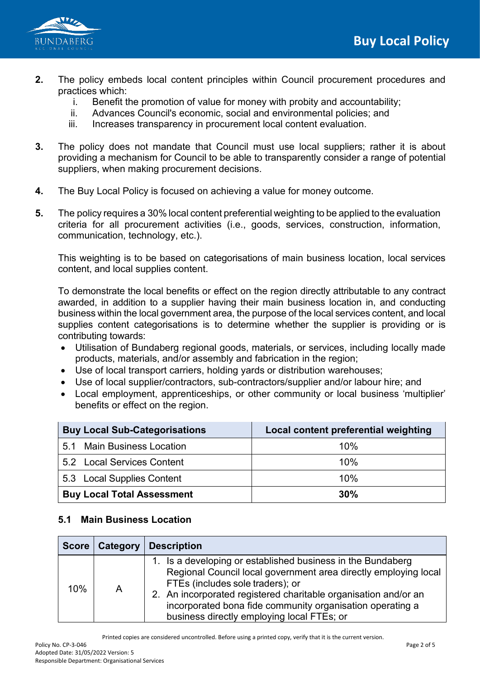

- **2.** The policy embeds local content principles within Council procurement procedures and practices which:
	- i. Benefit the promotion of value for money with probity and accountability;
	- ii. Advances Council's economic, social and environmental policies; and
	- iii. Increases transparency in procurement local content evaluation.
- **3.** The policy does not mandate that Council must use local suppliers; rather it is about providing a mechanism for Council to be able to transparently consider a range of potential suppliers, when making procurement decisions.
- **4.** The Buy Local Policy is focused on achieving a value for money outcome.
- **5.** The policy requires a 30% local content preferential weighting to be applied to the evaluation criteria for all procurement activities (i.e., goods, services, construction, information, communication, technology, etc.).

This weighting is to be based on categorisations of main business location, local services content, and local supplies content.

To demonstrate the local benefits or effect on the region directly attributable to any contract awarded, in addition to a supplier having their main business location in, and conducting business within the local government area, the purpose of the local services content, and local supplies content categorisations is to determine whether the supplier is providing or is contributing towards:

- Utilisation of Bundaberg regional goods, materials, or services, including locally made products, materials, and/or assembly and fabrication in the region;
- Use of local transport carriers, holding yards or distribution warehouses;
- Use of local supplier/contractors, sub-contractors/supplier and/or labour hire; and
- Local employment, apprenticeships, or other community or local business 'multiplier' benefits or effect on the region.

| <b>Buy Local Sub-Categorisations</b> | Local content preferential weighting |
|--------------------------------------|--------------------------------------|
| 5.1 Main Business Location           | 10%                                  |
| 5.2 Local Services Content           | 10%                                  |
| 5.3 Local Supplies Content           | 10%                                  |
| <b>Buy Local Total Assessment</b>    | 30%                                  |

# **5.1 Main Business Location**

|     | Score   Category | <b>Description</b>                                                                                                                                                                                                                                                                                                                               |
|-----|------------------|--------------------------------------------------------------------------------------------------------------------------------------------------------------------------------------------------------------------------------------------------------------------------------------------------------------------------------------------------|
| 10% | A                | 1. Is a developing or established business in the Bundaberg<br>Regional Council local government area directly employing local<br>FTEs (includes sole traders); or<br>2. An incorporated registered charitable organisation and/or an<br>incorporated bona fide community organisation operating a<br>business directly employing local FTEs; or |

Printed copies are considered uncontrolled. Before using a printed copy, verify that it is the current version.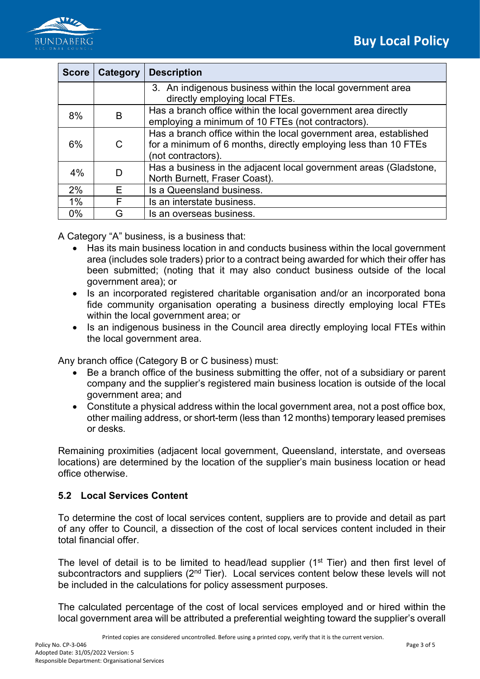

| <b>Score</b> | Category | <b>Description</b>                                                                                                                                         |
|--------------|----------|------------------------------------------------------------------------------------------------------------------------------------------------------------|
|              |          | 3. An indigenous business within the local government area<br>directly employing local FTEs.                                                               |
| 8%           | B        | Has a branch office within the local government area directly<br>employing a minimum of 10 FTEs (not contractors).                                         |
| 6%           | C.       | Has a branch office within the local government area, established<br>for a minimum of 6 months, directly employing less than 10 FTEs<br>(not contractors). |
| 4%           |          | Has a business in the adjacent local government areas (Gladstone,<br>North Burnett, Fraser Coast).                                                         |
| 2%           | E        | Is a Queensland business.                                                                                                                                  |
| $1\%$        | F        | Is an interstate business.                                                                                                                                 |
| 0%           | G        | Is an overseas business.                                                                                                                                   |

A Category "A" business, is a business that:

- Has its main business location in and conducts business within the local government area (includes sole traders) prior to a contract being awarded for which their offer has been submitted; (noting that it may also conduct business outside of the local government area); or
- Is an incorporated registered charitable organisation and/or an incorporated bona fide community organisation operating a business directly employing local FTEs within the local government area; or
- Is an indigenous business in the Council area directly employing local FTEs within the local government area.

Any branch office (Category B or C business) must:

- Be a branch office of the business submitting the offer, not of a subsidiary or parent company and the supplier's registered main business location is outside of the local government area; and
- Constitute a physical address within the local government area, not a post office box, other mailing address, or short-term (less than 12 months) temporary leased premises or desks.

Remaining proximities (adjacent local government, Queensland, interstate, and overseas locations) are determined by the location of the supplier's main business location or head office otherwise.

#### **5.2 Local Services Content**

To determine the cost of local services content, suppliers are to provide and detail as part of any offer to Council, a dissection of the cost of local services content included in their total financial offer.

The level of detail is to be limited to head/lead supplier (1<sup>st</sup> Tier) and then first level of subcontractors and suppliers  $(2<sup>nd</sup> Tier)$ . Local services content below these levels will not be included in the calculations for policy assessment purposes.

The calculated percentage of the cost of local services employed and or hired within the local government area will be attributed a preferential weighting toward the supplier's overall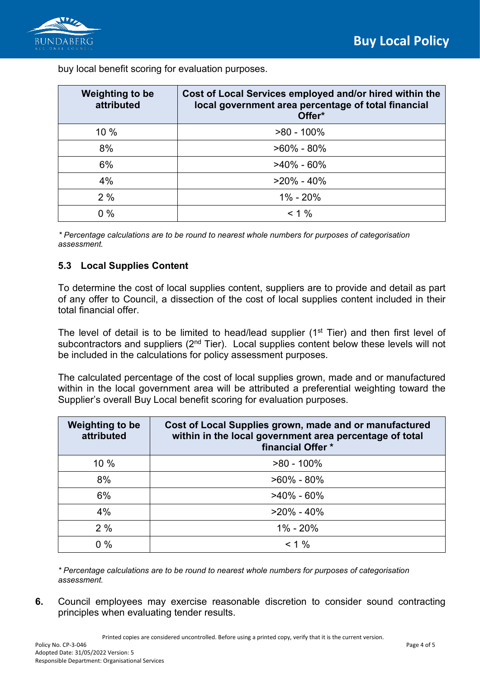

buy local benefit scoring for evaluation purposes.

| <b>Weighting to be</b><br>attributed | Cost of Local Services employed and/or hired within the<br>local government area percentage of total financial<br>Offer* |
|--------------------------------------|--------------------------------------------------------------------------------------------------------------------------|
| 10%                                  | $>80 - 100\%$                                                                                                            |
| 8%                                   | $>60\% - 80\%$                                                                                                           |
| 6%                                   | $>40\% - 60\%$                                                                                                           |
| 4%                                   | $>20\% - 40\%$                                                                                                           |
| 2%                                   | 1% - 20%                                                                                                                 |
| $0\%$                                | $< 1 \%$                                                                                                                 |

*\* Percentage calculations are to be round to nearest whole numbers for purposes of categorisation assessment.*

### **5.3 Local Supplies Content**

To determine the cost of local supplies content, suppliers are to provide and detail as part of any offer to Council, a dissection of the cost of local supplies content included in their total financial offer.

The level of detail is to be limited to head/lead supplier (1<sup>st</sup> Tier) and then first level of subcontractors and suppliers (2<sup>nd</sup> Tier). Local supplies content below these levels will not be included in the calculations for policy assessment purposes.

The calculated percentage of the cost of local supplies grown, made and or manufactured within in the local government area will be attributed a preferential weighting toward the Supplier's overall Buy Local benefit scoring for evaluation purposes.

| <b>Weighting to be</b><br>attributed | Cost of Local Supplies grown, made and or manufactured<br>within in the local government area percentage of total<br>financial Offer * |
|--------------------------------------|----------------------------------------------------------------------------------------------------------------------------------------|
| 10%                                  | $>80 - 100\%$                                                                                                                          |
| 8%                                   | $>60\% - 80\%$                                                                                                                         |
| 6%                                   | $>40\% - 60\%$                                                                                                                         |
| 4%                                   | $>20\% - 40\%$                                                                                                                         |
| 2%                                   | 1% - 20%                                                                                                                               |
| $0\%$                                | $< 1\%$                                                                                                                                |

*\* Percentage calculations are to be round to nearest whole numbers for purposes of categorisation assessment.* 

**6.** Council employees may exercise reasonable discretion to consider sound contracting principles when evaluating tender results.